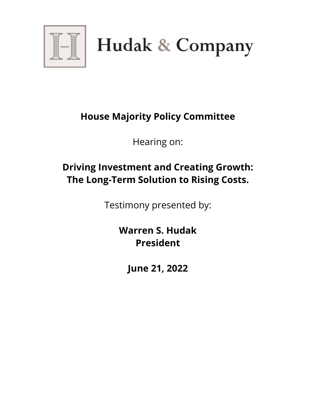

 $\left\| \boldsymbol{\theta} \right\|$  Hudak & Company

## **House Majority Policy Committee**

Hearing on:

## **Driving Investment and Creating Growth: The Long-Term Solution to Rising Costs.**

Testimony presented by:

**Warren S. Hudak President**

**June 21, 2022**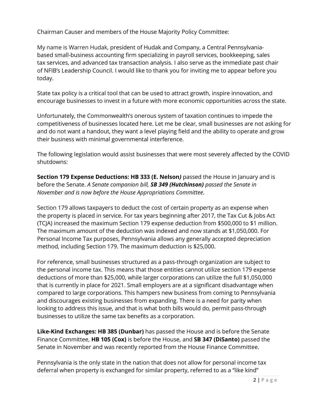Chairman Causer and members of the House Majority Policy Committee:

My name is Warren Hudak, president of Hudak and Company, a Central Pennsylvaniabased small-business accounting firm specializing in payroll services, bookkeeping, sales tax services, and advanced tax transaction analysis. I also serve as the immediate past chair of NFIB's Leadership Council. I would like to thank you for inviting me to appear before you today.

State tax policy is a critical tool that can be used to attract growth, inspire innovation, and encourage businesses to invest in a future with more economic opportunities across the state.

Unfortunately, the Commonwealth's onerous system of taxation continues to impede the competitiveness of businesses located here. Let me be clear, small businesses are not asking for and do not want a handout, they want a level playing field and the ability to operate and grow their business with minimal governmental interference.

The following legislation would assist businesses that were most severely affected by the COVID shutdowns:

**Section 179 Expense Deductions: HB 333 (E. Nelson***)* passed the House in January and is before the Senate. *A Senate companion bill, SB 349 (Hutchinson) passed the Senate in November and is now before the House Appropriations Committee.*

Section 179 allows taxpayers to deduct the cost of certain property as an expense when the property is placed in service. For tax years beginning after 2017, the Tax Cut & Jobs Act (TCJA) increased the maximum Section 179 expense deduction from \$500,000 to \$1 million. The maximum amount of the deduction was indexed and now stands at \$1,050,000. For Personal Income Tax purposes, Pennsylvania allows any generally accepted depreciation method, including Section 179. The maximum deduction is \$25,000.

For reference, small businesses structured as a pass-through organization are subject to the personal income tax. This means that those entities cannot utilize section 179 expense deductions of more than \$25,000, while larger corporations can utilize the full \$1,050,000 that is currently in place for 2021. Small employers are at a significant disadvantage when compared to large corporations. This hampers new business from coming to Pennsylvania and discourages existing businesses from expanding. There is a need for parity when looking to address this issue, and that is what both bills would do, permit pass-through businesses to utilize the same tax benefits as a corporation.

**Like-Kind Exchanges: HB 385 (Dunbar)** has passed the House and is before the Senate Finance Committee, **HB 105 (Cox)** is before the House, and **SB 347 (DiSanto)** passed the Senate in November and was recently reported from the House Finance Committee.

Pennsylvania is the only state in the nation that does not allow for personal income tax deferral when property is exchanged for similar property, referred to as a "like kind"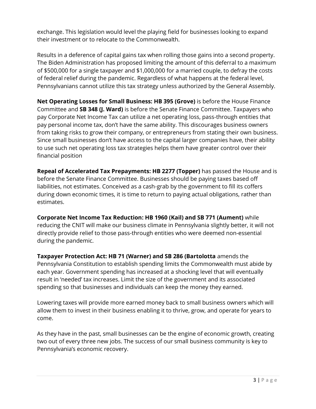exchange. This legislation would level the playing field for businesses looking to expand their investment or to relocate to the Commonwealth.

Results in a deference of capital gains tax when rolling those gains into a second property. The Biden Administration has proposed limiting the amount of this deferral to a maximum of \$500,000 for a single taxpayer and \$1,000,000 for a married couple, to defray the costs of federal relief during the pandemic. Regardless of what happens at the federal level, Pennsylvanians cannot utilize this tax strategy unless authorized by the General Assembly.

**Net Operating Losses for Small Business: HB 395 (Grove)** is before the House Finance Committee and **SB 348 (J. Ward)** is before the Senate Finance Committee. Taxpayers who pay Corporate Net Income Tax can utilize a net operating loss, pass-through entities that pay personal income tax, don't have the same ability. This discourages business owners from taking risks to grow their company, or entrepreneurs from stating their own business. Since small businesses don't have access to the capital larger companies have, their ability to use such net operating loss tax strategies helps them have greater control over their financial position

**Repeal of Accelerated Tax Prepayments: HB 2277 (Topper)** has passed the House and is before the Senate Finance Committee. Businesses should be paying taxes based off liabilities, not estimates. Conceived as a cash-grab by the government to fill its coffers during down economic times, it is time to return to paying actual obligations, rather than estimates.

**Corporate Net Income Tax Reduction: HB 1960 (Kail) and SB 771 (Aument)** while reducing the CNIT will make our business climate in Pennsylvania slightly better, it will not directly provide relief to those pass-through entities who were deemed non-essential during the pandemic.

**Taxpayer Protection Act: HB 71 (Warner) and SB 286 (Bartolotta** amends the Pennsylvania Constitution to establish spending limits the Commonwealth must abide by each year. Government spending has increased at a shocking level that will eventually result in 'needed' tax increases. Limit the size of the government and its associated spending so that businesses and individuals can keep the money they earned.

Lowering taxes will provide more earned money back to small business owners which will allow them to invest in their business enabling it to thrive, grow, and operate for years to come.

As they have in the past, small businesses can be the engine of economic growth, creating two out of every three new jobs. The success of our small business community is key to Pennsylvania's economic recovery.